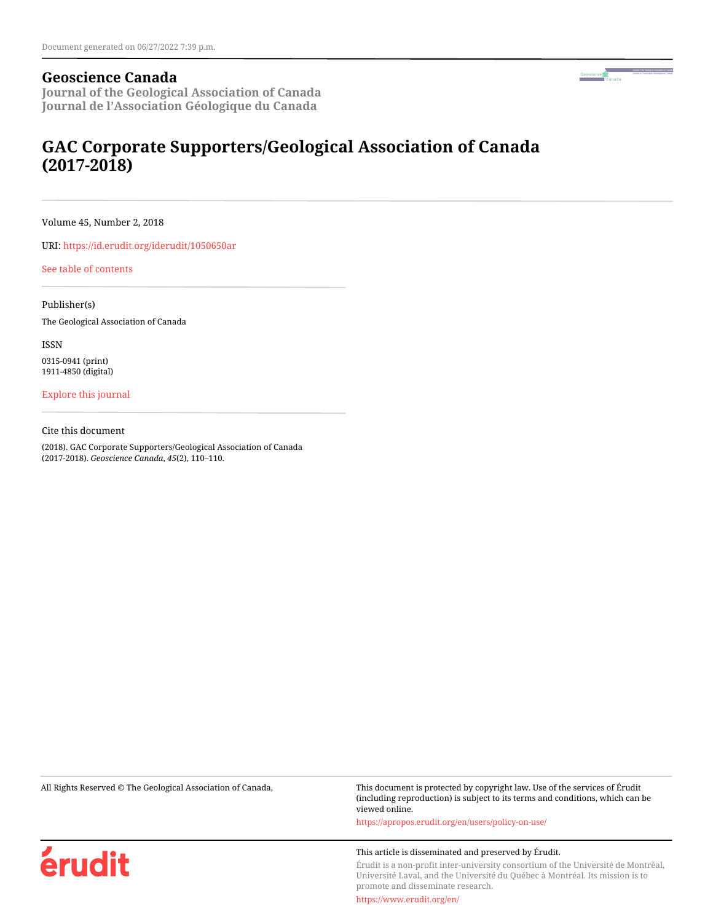### **Geoscience Canada**

**Journal of the Geological Association of Canada Journal de l'Association Géologique du Canada**

# **GAC Corporate Supporters/Geological Association of Canada (2017-2018)**

Volume 45, Number 2, 2018

URI:<https://id.erudit.org/iderudit/1050650ar>

[See table of contents](https://www.erudit.org/en/journals/geocan/2018-v45-n2-geocan03911/)

Publisher(s) The Geological Association of Canada

ISSN

0315-0941 (print) 1911-4850 (digital)

[Explore this journal](https://www.erudit.org/en/journals/geocan/)

Cite this document

(2018). GAC Corporate Supporters/Geological Association of Canada (2017-2018). *Geoscience Canada*, *45*(2), 110–110.

All Rights Reserved © The Geological Association of Canada, This document is protected by copyright law. Use of the services of Érudit (including reproduction) is subject to its terms and conditions, which can be viewed online.

<https://apropos.erudit.org/en/users/policy-on-use/>

#### This article is disseminated and preserved by Érudit.

Érudit is a non-profit inter-university consortium of the Université de Montréal, Université Laval, and the Université du Québec à Montréal. Its mission is to promote and disseminate research.

<https://www.erudit.org/en/>